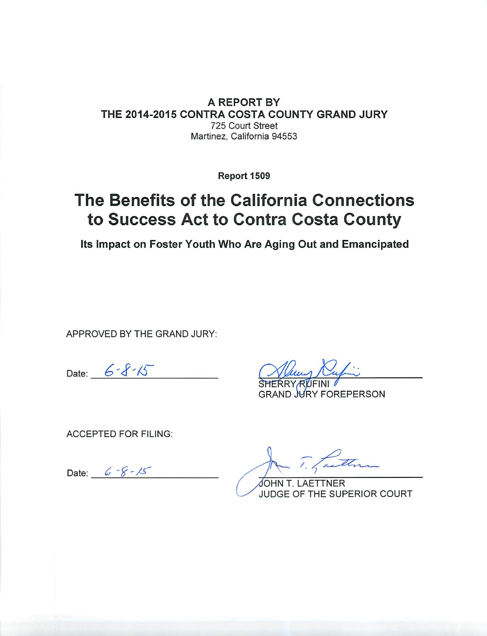#### A REPORT BY THE 2014-2015 CONTRA COSTA COUNTY GRAND JURY 725 Court Street Martinez, California 94553

Report 1509

## The Benefits of the California Connections to Success Act to Contra Costa County

Its Impact on Foster Youth Who Are Aging Out and Emancipated

APPROVED BY THE GRAND JURY:

Date:  $6 - 8 - 15$ 

**GRAND WRY FOREPERSON** 

**ACCEPTED FOR FILING:** 

Date:  $6 - 8 - 15$ 

faith

JOHN T. LAETTNER JUDGE OF THE SUPERIOR COURT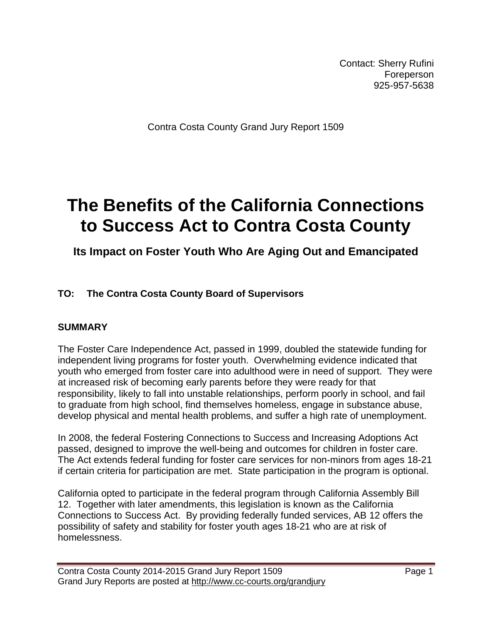Contact: Sherry Rufini Foreperson 925-957-5638

Contra Costa County Grand Jury Report 1509

# **The Benefits of the California Connections to Success Act to Contra Costa County**

### **Its Impact on Foster Youth Who Are Aging Out and Emancipated**

#### **TO: The Contra Costa County Board of Supervisors**

#### **SUMMARY**

The Foster Care Independence Act, passed in 1999, doubled the statewide funding for independent living programs for foster youth. Overwhelming evidence indicated that youth who emerged from foster care into adulthood were in need of support. They were at increased risk of becoming early parents before they were ready for that responsibility, likely to fall into unstable relationships, perform poorly in school, and fail to graduate from high school, find themselves homeless, engage in substance abuse, develop physical and mental health problems, and suffer a high rate of unemployment.

In 2008, the federal Fostering Connections to Success and Increasing Adoptions Act passed, designed to improve the well-being and outcomes for children in foster care. The Act extends federal funding for foster care services for non-minors from ages 18-21 if certain criteria for participation are met. State participation in the program is optional.

California opted to participate in the federal program through California Assembly Bill 12. Together with later amendments, this legislation is known as the California Connections to Success Act. By providing federally funded services, AB 12 offers the possibility of safety and stability for foster youth ages 18-21 who are at risk of homelessness.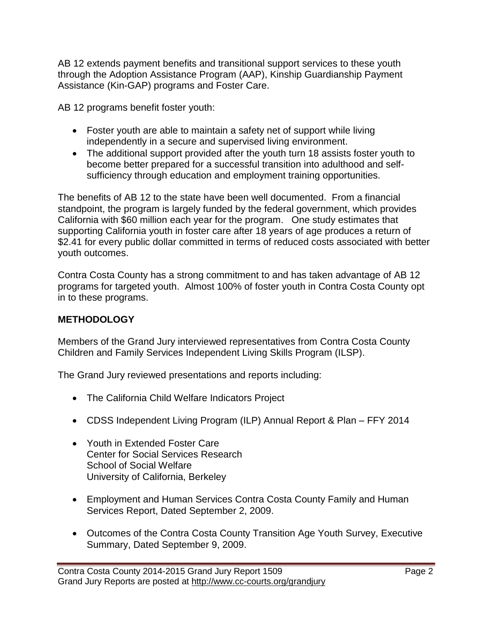AB 12 extends payment benefits and transitional support services to these youth through the Adoption Assistance Program (AAP), Kinship Guardianship Payment Assistance (Kin-GAP) programs and Foster Care.

AB 12 programs benefit foster youth:

- Foster youth are able to maintain a safety net of support while living independently in a secure and supervised living environment.
- The additional support provided after the youth turn 18 assists foster youth to become better prepared for a successful transition into adulthood and selfsufficiency through education and employment training opportunities.

The benefits of AB 12 to the state have been well documented. From a financial standpoint, the program is largely funded by the federal government, which provides California with \$60 million each year for the program. One study estimates that supporting California youth in foster care after 18 years of age produces a return of \$2.41 for every public dollar committed in terms of reduced costs associated with better youth outcomes.

Contra Costa County has a strong commitment to and has taken advantage of AB 12 programs for targeted youth. Almost 100% of foster youth in Contra Costa County opt in to these programs.

#### **METHODOLOGY**

Members of the Grand Jury interviewed representatives from Contra Costa County Children and Family Services Independent Living Skills Program (ILSP).

The Grand Jury reviewed presentations and reports including:

- The California Child Welfare Indicators Project
- CDSS Independent Living Program (ILP) Annual Report & Plan FFY 2014
- Youth in Extended Foster Care Center for Social Services Research School of Social Welfare University of California, Berkeley
- Employment and Human Services Contra Costa County Family and Human Services Report, Dated September 2, 2009.
- Outcomes of the Contra Costa County Transition Age Youth Survey, Executive Summary, Dated September 9, 2009.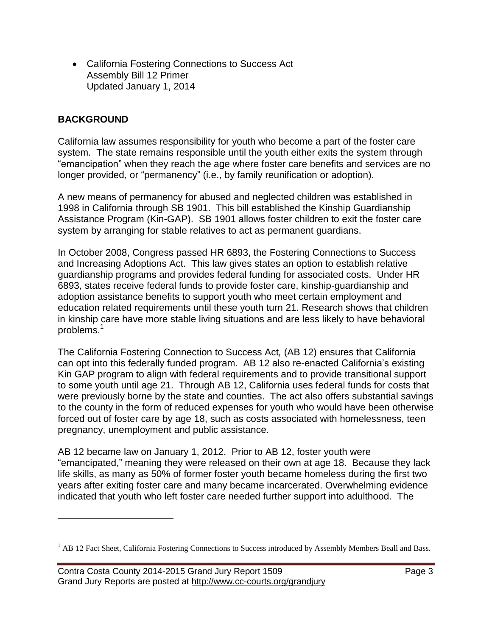California Fostering Connections to Success Act Assembly Bill 12 Primer Updated January 1, 2014

#### **BACKGROUND**

 $\overline{a}$ 

California law assumes responsibility for youth who become a part of the foster care system. The state remains responsible until the youth either exits the system through "emancipation" when they reach the age where foster care benefits and services are no longer provided, or "permanency" (i.e., by family reunification or adoption).

A new means of permanency for abused and neglected children was established in 1998 in California through SB 1901. This bill established the Kinship Guardianship Assistance Program (Kin-GAP). SB 1901 allows foster children to exit the foster care system by arranging for stable relatives to act as permanent guardians.

In October 2008, Congress passed HR 6893, the Fostering Connections to Success and Increasing Adoptions Act. This law gives states an option to establish relative guardianship programs and provides federal funding for associated costs. Under HR 6893, states receive federal funds to provide foster care, kinship-guardianship and adoption assistance benefits to support youth who meet certain employment and education related requirements until these youth turn 21. Research shows that children in kinship care have more stable living situations and are less likely to have behavioral problems.<sup>1</sup>

The California Fostering Connection to Success Act*,* (AB 12) ensures that California can opt into this federally funded program. AB 12 also re-enacted California's existing Kin GAP program to align with federal requirements and to provide transitional support to some youth until age 21. Through AB 12, California uses federal funds for costs that were previously borne by the state and counties. The act also offers substantial savings to the county in the form of reduced expenses for youth who would have been otherwise forced out of foster care by age 18, such as costs associated with homelessness, teen pregnancy, unemployment and public assistance.

AB 12 became law on January 1, 2012. Prior to AB 12, foster youth were "emancipated," meaning they were released on their own at age 18. Because they lack life skills, as many as 50% of former foster youth became homeless during the first two years after exiting foster care and many became incarcerated. Overwhelming evidence indicated that youth who left foster care needed further support into adulthood. The

<sup>&</sup>lt;sup>1</sup> AB 12 Fact Sheet, California Fostering Connections to Success introduced by Assembly Members Beall and Bass.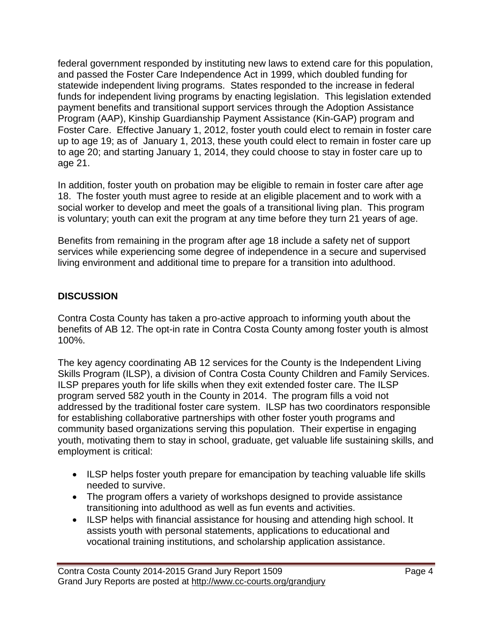federal government responded by instituting new laws to extend care for this population, and passed the Foster Care Independence Act in 1999, which doubled funding for statewide independent living programs. States responded to the increase in federal funds for independent living programs by enacting legislation. This legislation extended payment benefits and transitional support services through the Adoption Assistance Program (AAP), Kinship Guardianship Payment Assistance (Kin-GAP) program and Foster Care. Effective January 1, 2012, foster youth could elect to remain in foster care up to age 19; as of January 1, 2013, these youth could elect to remain in foster care up to age 20; and starting January 1, 2014, they could choose to stay in foster care up to age 21.

In addition, foster youth on probation may be eligible to remain in foster care after age 18. The foster youth must agree to reside at an eligible placement and to work with a social worker to develop and meet the goals of a transitional living plan. This program is voluntary; youth can exit the program at any time before they turn 21 years of age.

Benefits from remaining in the program after age 18 include a safety net of support services while experiencing some degree of independence in a secure and supervised living environment and additional time to prepare for a transition into adulthood.

#### **DISCUSSION**

Contra Costa County has taken a pro-active approach to informing youth about the benefits of AB 12. The opt-in rate in Contra Costa County among foster youth is almost 100%.

The key agency coordinating AB 12 services for the County is the Independent Living Skills Program (ILSP), a division of Contra Costa County Children and Family Services. ILSP prepares youth for life skills when they exit extended foster care. The ILSP program served 582 youth in the County in 2014. The program fills a void not addressed by the traditional foster care system. ILSP has two coordinators responsible for establishing collaborative partnerships with other foster youth programs and community based organizations serving this population. Their expertise in engaging youth, motivating them to stay in school, graduate, get valuable life sustaining skills, and employment is critical:

- ILSP helps foster youth prepare for emancipation by teaching valuable life skills needed to survive.
- The program offers a variety of workshops designed to provide assistance transitioning into adulthood as well as fun events and activities.
- ILSP helps with financial assistance for housing and attending high school. It assists youth with personal statements, applications to educational and vocational training institutions, and scholarship application assistance.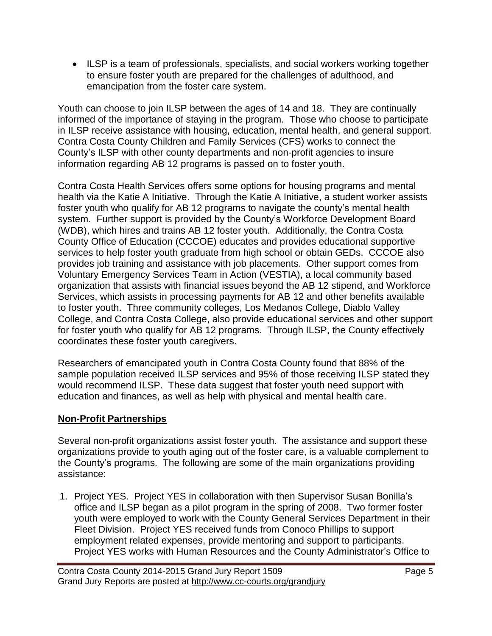• ILSP is a team of professionals, specialists, and social workers working together to ensure foster youth are prepared for the challenges of adulthood, and emancipation from the foster care system.

Youth can choose to join ILSP between the ages of 14 and 18. They are continually informed of the importance of staying in the program. Those who choose to participate in ILSP receive assistance with housing, education, mental health, and general support. Contra Costa County Children and Family Services (CFS) works to connect the County's ILSP with other county departments and non-profit agencies to insure information regarding AB 12 programs is passed on to foster youth.

Contra Costa Health Services offers some options for housing programs and mental health via the Katie A Initiative. Through the Katie A Initiative, a student worker assists foster youth who qualify for AB 12 programs to navigate the county's mental health system. Further support is provided by the County's Workforce Development Board (WDB), which hires and trains AB 12 foster youth. Additionally, the Contra Costa County Office of Education (CCCOE) educates and provides educational supportive services to help foster youth graduate from high school or obtain GEDs. CCCOE also provides job training and assistance with job placements. Other support comes from Voluntary Emergency Services Team in Action (VESTIA), a local community based organization that assists with financial issues beyond the AB 12 stipend, and Workforce Services, which assists in processing payments for AB 12 and other benefits available to foster youth. Three community colleges, Los Medanos College, Diablo Valley College, and Contra Costa College, also provide educational services and other support for foster youth who qualify for AB 12 programs. Through ILSP, the County effectively coordinates these foster youth caregivers.

Researchers of emancipated youth in Contra Costa County found that 88% of the sample population received ILSP services and 95% of those receiving ILSP stated they would recommend ILSP. These data suggest that foster youth need support with education and finances, as well as help with physical and mental health care.

#### **Non-Profit Partnerships**

Several non-profit organizations assist foster youth. The assistance and support these organizations provide to youth aging out of the foster care, is a valuable complement to the County's programs. The following are some of the main organizations providing assistance:

1. Project YES. Project YES in collaboration with then Supervisor Susan Bonilla's office and ILSP began as a pilot program in the spring of 2008. Two former foster youth were employed to work with the County General Services Department in their Fleet Division. Project YES received funds from Conoco Phillips to support employment related expenses, provide mentoring and support to participants. Project YES works with Human Resources and the County Administrator's Office to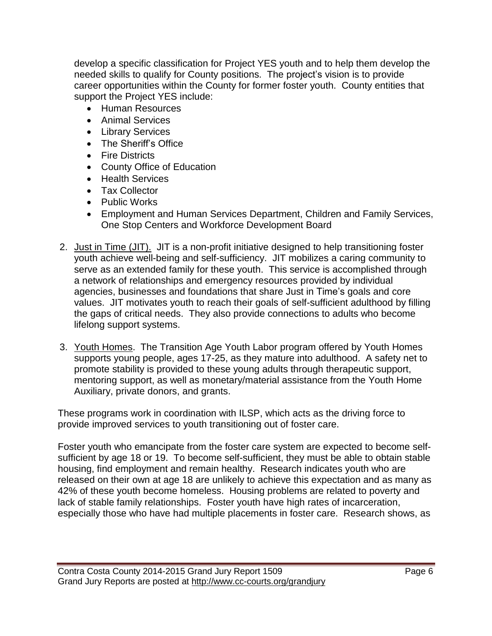develop a specific classification for Project YES youth and to help them develop the needed skills to qualify for County positions. The project's vision is to provide career opportunities within the County for former foster youth. County entities that support the Project YES include:

- **•** Human Resources
- Animal Services
- Library Services
- The Sheriff's Office
- Fire Districts
- County Office of Education
- Health Services
- Tax Collector
- Public Works
- Employment and Human Services Department, Children and Family Services, One Stop Centers and Workforce Development Board
- 2. Just in Time (JIT). JIT is a non-profit initiative designed to help transitioning foster youth achieve well-being and self-sufficiency. JIT mobilizes a caring community to serve as an extended family for these youth. This service is accomplished through a network of relationships and emergency resources provided by individual agencies, businesses and foundations that share Just in Time's goals and core values. JIT motivates youth to reach their goals of self-sufficient adulthood by filling the gaps of critical needs. They also provide connections to adults who become lifelong support systems.
- 3. Youth Homes. The Transition Age Youth Labor program offered by Youth Homes supports young people, ages 17-25, as they mature into adulthood. A safety net to promote stability is provided to these young adults through therapeutic support, mentoring support, as well as monetary/material assistance from the Youth Home Auxiliary, private donors, and grants.

These programs work in coordination with ILSP, which acts as the driving force to provide improved services to youth transitioning out of foster care.

Foster youth who emancipate from the foster care system are expected to become selfsufficient by age 18 or 19. To become self-sufficient, they must be able to obtain stable housing, find employment and remain healthy. Research indicates youth who are released on their own at age 18 are unlikely to achieve this expectation and as many as 42% of these youth become homeless. Housing problems are related to poverty and lack of stable family relationships. Foster youth have high rates of incarceration, especially those who have had multiple placements in foster care. Research shows, as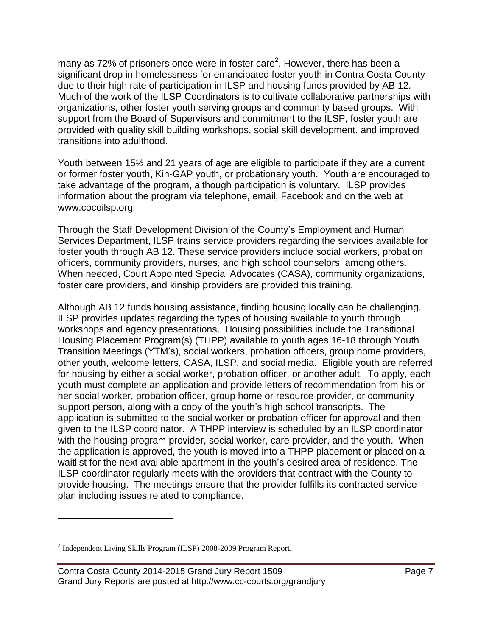many as 72% of prisoners once were in foster care<sup>2</sup>. However, there has been a significant drop in homelessness for emancipated foster youth in Contra Costa County due to their high rate of participation in ILSP and housing funds provided by AB 12. Much of the work of the ILSP Coordinators is to cultivate collaborative partnerships with organizations, other foster youth serving groups and community based groups. With support from the Board of Supervisors and commitment to the ILSP, foster youth are provided with quality skill building workshops, social skill development, and improved transitions into adulthood.

Youth between 15½ and 21 years of age are eligible to participate if they are a current or former foster youth, Kin-GAP youth, or probationary youth. Youth are encouraged to take advantage of the program, although participation is voluntary. ILSP provides information about the program via telephone, email, Facebook and on the web at www.cocoilsp.org.

Through the Staff Development Division of the County's Employment and Human Services Department, ILSP trains service providers regarding the services available for foster youth through AB 12. These service providers include social workers, probation officers, community providers, nurses, and high school counselors, among others. When needed, Court Appointed Special Advocates (CASA), community organizations, foster care providers, and kinship providers are provided this training.

Although AB 12 funds housing assistance, finding housing locally can be challenging. ILSP provides updates regarding the types of housing available to youth through workshops and agency presentations. Housing possibilities include the Transitional Housing Placement Program(s) (THPP) available to youth ages 16-18 through Youth Transition Meetings (YTM's), social workers, probation officers, group home providers, other youth, welcome letters, CASA, ILSP, and social media. Eligible youth are referred for housing by either a social worker, probation officer, or another adult. To apply, each youth must complete an application and provide letters of recommendation from his or her social worker, probation officer, group home or resource provider, or community support person, along with a copy of the youth's high school transcripts. The application is submitted to the social worker or probation officer for approval and then given to the ILSP coordinator. A THPP interview is scheduled by an ILSP coordinator with the housing program provider, social worker, care provider, and the youth. When the application is approved, the youth is moved into a THPP placement or placed on a waitlist for the next available apartment in the youth's desired area of residence. The ILSP coordinator regularly meets with the providers that contract with the County to provide housing. The meetings ensure that the provider fulfills its contracted service plan including issues related to compliance.

 $\overline{a}$ 

 $2$  Independent Living Skills Program (ILSP) 2008-2009 Program Report.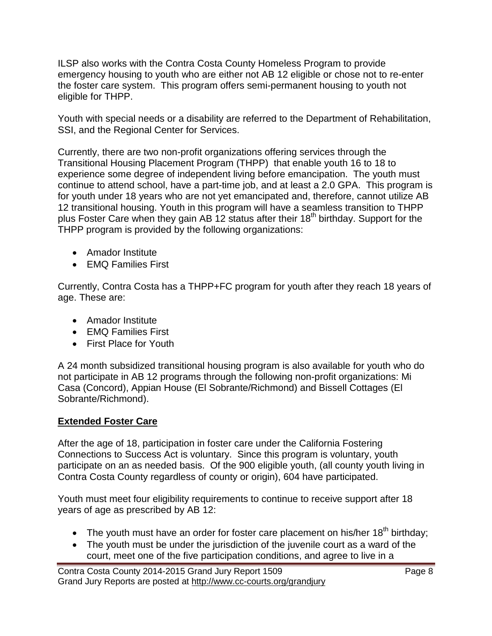ILSP also works with the Contra Costa County Homeless Program to provide emergency housing to youth who are either not AB 12 eligible or chose not to re-enter the foster care system. This program offers semi-permanent housing to youth not eligible for THPP.

Youth with special needs or a disability are referred to the Department of Rehabilitation, SSI, and the Regional Center for Services.

Currently, there are two non-profit organizations offering services through the Transitional Housing Placement Program (THPP) that enable youth 16 to 18 to experience some degree of independent living before emancipation. The youth must continue to attend school, have a part-time job, and at least a 2.0 GPA. This program is for youth under 18 years who are not yet emancipated and, therefore, cannot utilize AB 12 transitional housing. Youth in this program will have a seamless transition to THPP plus Foster Care when they gain AB 12 status after their 18<sup>th</sup> birthday. Support for the THPP program is provided by the following organizations:

- Amador Institute
- EMQ Families First

Currently, Contra Costa has a THPP+FC program for youth after they reach 18 years of age. These are:

- Amador Institute
- EMQ Families First
- First Place for Youth

A 24 month subsidized transitional housing program is also available for youth who do not participate in AB 12 programs through the following non-profit organizations: Mi Casa (Concord), Appian House (El Sobrante/Richmond) and Bissell Cottages (El Sobrante/Richmond).

#### **Extended Foster Care**

After the age of 18, participation in foster care under the California Fostering Connections to Success Act is voluntary. Since this program is voluntary, youth participate on an as needed basis. Of the 900 eligible youth, (all county youth living in Contra Costa County regardless of county or origin), 604 have participated.

Youth must meet four eligibility requirements to continue to receive support after 18 years of age as prescribed by AB 12:

- The youth must have an order for foster care placement on his/her  $18<sup>th</sup>$  birthday;
- The youth must be under the jurisdiction of the juvenile court as a ward of the court, meet one of the five participation conditions, and agree to live in a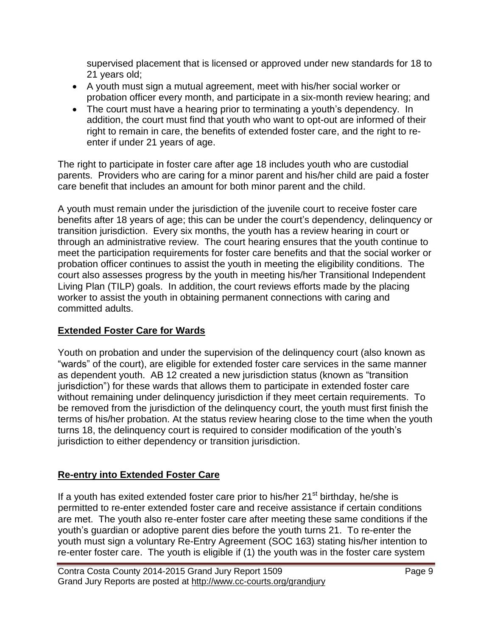supervised placement that is licensed or approved under new standards for 18 to 21 years old;

- A youth must sign a mutual agreement, meet with his/her social worker or probation officer every month, and participate in a six-month review hearing; and
- The court must have a hearing prior to terminating a youth's dependency. In addition, the court must find that youth who want to opt-out are informed of their right to remain in care, the benefits of extended foster care, and the right to reenter if under 21 years of age.

The right to participate in foster care after age 18 includes youth who are custodial parents. Providers who are caring for a minor parent and his/her child are paid a foster care benefit that includes an amount for both minor parent and the child.

A youth must remain under the jurisdiction of the juvenile court to receive foster care benefits after 18 years of age; this can be under the court's dependency, delinquency or transition jurisdiction. Every six months, the youth has a review hearing in court or through an administrative review. The court hearing ensures that the youth continue to meet the participation requirements for foster care benefits and that the social worker or probation officer continues to assist the youth in meeting the eligibility conditions. The court also assesses progress by the youth in meeting his/her Transitional Independent Living Plan (TILP) goals. In addition, the court reviews efforts made by the placing worker to assist the youth in obtaining permanent connections with caring and committed adults.

#### **Extended Foster Care for Wards**

Youth on probation and under the supervision of the delinquency court (also known as "wards" of the court), are eligible for extended foster care services in the same manner as dependent youth. AB 12 created a new jurisdiction status (known as "transition jurisdiction") for these wards that allows them to participate in extended foster care without remaining under delinquency jurisdiction if they meet certain requirements. To be removed from the jurisdiction of the delinquency court, the youth must first finish the terms of his/her probation. At the status review hearing close to the time when the youth turns 18, the delinquency court is required to consider modification of the youth's jurisdiction to either dependency or transition jurisdiction.

#### **Re-entry into Extended Foster Care**

If a youth has exited extended foster care prior to his/her  $21<sup>st</sup>$  birthday, he/she is permitted to re-enter extended foster care and receive assistance if certain conditions are met. The youth also re-enter foster care after meeting these same conditions if the youth's guardian or adoptive parent dies before the youth turns 21. To re-enter the youth must sign a voluntary Re-Entry Agreement (SOC 163) stating his/her intention to re-enter foster care. The youth is eligible if (1) the youth was in the foster care system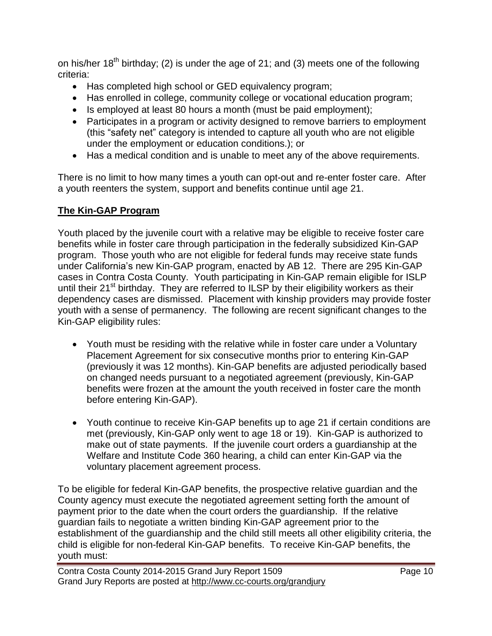on his/her  $18<sup>th</sup>$  birthday; (2) is under the age of 21; and (3) meets one of the following criteria:

- Has completed high school or GED equivalency program;
- Has enrolled in college, community college or vocational education program;
- $\bullet$  Is employed at least 80 hours a month (must be paid employment);
- Participates in a program or activity designed to remove barriers to employment (this "safety net" category is intended to capture all youth who are not eligible under the employment or education conditions.); or
- Has a medical condition and is unable to meet any of the above requirements.

There is no limit to how many times a youth can opt-out and re-enter foster care. After a youth reenters the system, support and benefits continue until age 21.

#### **The Kin-GAP Program**

Youth placed by the juvenile court with a relative may be eligible to receive foster care benefits while in foster care through participation in the federally subsidized Kin-GAP program. Those youth who are not eligible for federal funds may receive state funds under California's new Kin-GAP program, enacted by AB 12. There are 295 Kin-GAP cases in Contra Costa County. Youth participating in Kin-GAP remain eligible for ISLP until their 21<sup>st</sup> birthday. They are referred to ILSP by their eligibility workers as their dependency cases are dismissed. Placement with kinship providers may provide foster youth with a sense of permanency. The following are recent significant changes to the Kin-GAP eligibility rules:

- Youth must be residing with the relative while in foster care under a Voluntary Placement Agreement for six consecutive months prior to entering Kin-GAP (previously it was 12 months). Kin-GAP benefits are adjusted periodically based on changed needs pursuant to a negotiated agreement (previously, Kin-GAP benefits were frozen at the amount the youth received in foster care the month before entering Kin-GAP).
- Youth continue to receive Kin-GAP benefits up to age 21 if certain conditions are met (previously, Kin-GAP only went to age 18 or 19). Kin-GAP is authorized to make out of state payments. If the juvenile court orders a guardianship at the Welfare and Institute Code 360 hearing, a child can enter Kin-GAP via the voluntary placement agreement process.

To be eligible for federal Kin-GAP benefits, the prospective relative guardian and the County agency must execute the negotiated agreement setting forth the amount of payment prior to the date when the court orders the guardianship. If the relative guardian fails to negotiate a written binding Kin-GAP agreement prior to the establishment of the guardianship and the child still meets all other eligibility criteria, the child is eligible for non-federal Kin-GAP benefits. To receive Kin-GAP benefits, the youth must: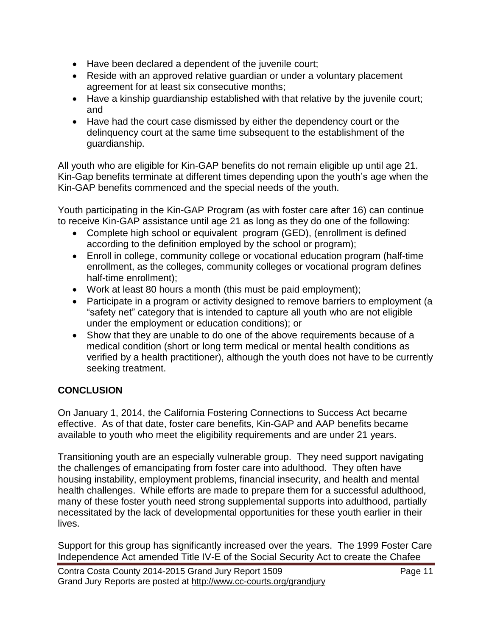- Have been declared a dependent of the juvenile court;
- Reside with an approved relative quardian or under a voluntary placement agreement for at least six consecutive months;
- Have a kinship guardianship established with that relative by the juvenile court; and
- Have had the court case dismissed by either the dependency court or the delinquency court at the same time subsequent to the establishment of the guardianship.

All youth who are eligible for Kin-GAP benefits do not remain eligible up until age 21. Kin-Gap benefits terminate at different times depending upon the youth's age when the Kin-GAP benefits commenced and the special needs of the youth.

Youth participating in the Kin-GAP Program (as with foster care after 16) can continue to receive Kin-GAP assistance until age 21 as long as they do one of the following:

- Complete high school or equivalent program (GED), (enrollment is defined according to the definition employed by the school or program);
- Enroll in college, community college or vocational education program (half-time enrollment, as the colleges, community colleges or vocational program defines half-time enrollment);
- Work at least 80 hours a month (this must be paid employment);
- Participate in a program or activity designed to remove barriers to employment (a "safety net" category that is intended to capture all youth who are not eligible under the employment or education conditions); or
- Show that they are unable to do one of the above requirements because of a medical condition (short or long term medical or mental health conditions as verified by a health practitioner), although the youth does not have to be currently seeking treatment.

#### **CONCLUSION**

On January 1, 2014, the California Fostering Connections to Success Act became effective. As of that date, foster care benefits, Kin-GAP and AAP benefits became available to youth who meet the eligibility requirements and are under 21 years.

Transitioning youth are an especially vulnerable group. They need support navigating the challenges of emancipating from foster care into adulthood. They often have housing instability, employment problems, financial insecurity, and health and mental health challenges. While efforts are made to prepare them for a successful adulthood, many of these foster youth need strong supplemental supports into adulthood, partially necessitated by the lack of developmental opportunities for these youth earlier in their lives.

Support for this group has significantly increased over the years. The 1999 Foster Care Independence Act amended Title IV-E of the Social Security Act to create the Chafee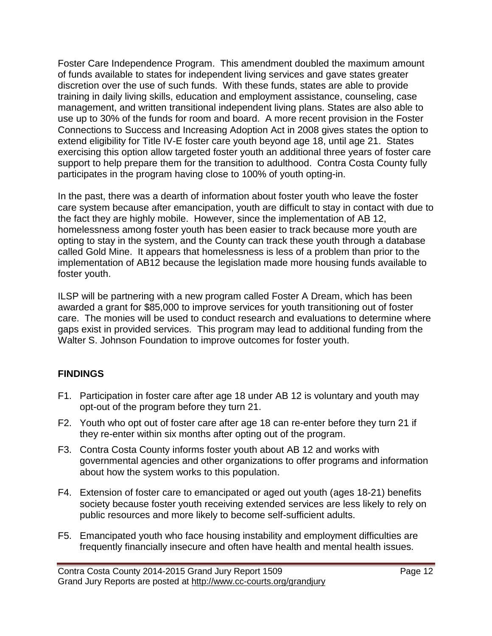Foster Care Independence Program. This amendment doubled the maximum amount of funds available to states for independent living services and gave states greater discretion over the use of such funds. With these funds, states are able to provide training in daily living skills, education and employment assistance, counseling, case management, and written transitional independent living plans. States are also able to use up to 30% of the funds for room and board. A more recent provision in the Foster Connections to Success and Increasing Adoption Act in 2008 gives states the option to extend eligibility for Title IV-E foster care youth beyond age 18, until age 21. States exercising this option allow targeted foster youth an additional three years of foster care support to help prepare them for the transition to adulthood. Contra Costa County fully participates in the program having close to 100% of youth opting-in.

In the past, there was a dearth of information about foster youth who leave the foster care system because after emancipation, youth are difficult to stay in contact with due to the fact they are highly mobile. However, since the implementation of AB 12, homelessness among foster youth has been easier to track because more youth are opting to stay in the system, and the County can track these youth through a database called Gold Mine. It appears that homelessness is less of a problem than prior to the implementation of AB12 because the legislation made more housing funds available to foster youth.

ILSP will be partnering with a new program called Foster A Dream, which has been awarded a grant for \$85,000 to improve services for youth transitioning out of foster care. The monies will be used to conduct research and evaluations to determine where gaps exist in provided services. This program may lead to additional funding from the Walter S. Johnson Foundation to improve outcomes for foster youth.

#### **FINDINGS**

- F1. Participation in foster care after age 18 under AB 12 is voluntary and youth may opt-out of the program before they turn 21.
- F2. Youth who opt out of foster care after age 18 can re-enter before they turn 21 if they re-enter within six months after opting out of the program.
- F3. Contra Costa County informs foster youth about AB 12 and works with governmental agencies and other organizations to offer programs and information about how the system works to this population.
- F4. Extension of foster care to emancipated or aged out youth (ages 18-21) benefits society because foster youth receiving extended services are less likely to rely on public resources and more likely to become self-sufficient adults.
- F5. Emancipated youth who face housing instability and employment difficulties are frequently financially insecure and often have health and mental health issues.